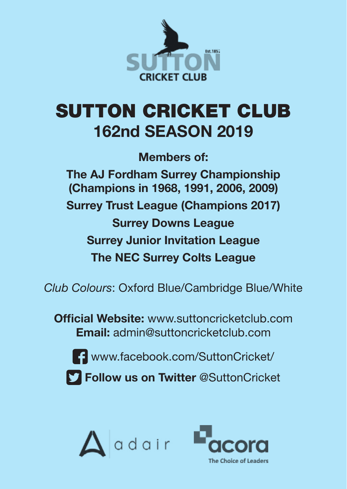

# SUTTON CRICKET CLUB **162nd SEASON 2019**

**Members of: The AJ Fordham Surrey Championship (Champions in 1968, 1991, 2006, 2009) Surrey Trust League (Champions 2017) Surrey Downs League Surrey Junior Invitation League The NEC Surrey Colts League**

*Club Colours*: Oxford Blue/Cambridge Blue/White

**Official Website:** www.suttoncricketclub.com **Email:** admin@suttoncricketclub.com



www.facebook.com/SuttonCricket/

**Follow us on Twitter** @SuttonCricket



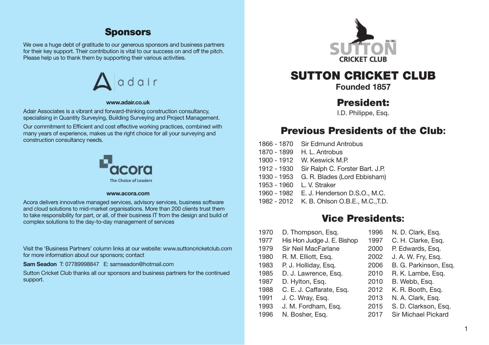### **Sponsors**

We owe a huge debt of gratitude to our generous sponsors and business partners for their key support. Their contribution is vital to our success on and off the pitch. Please help us to thank them by supporting their various activities.



#### **www.adair.co.uk**

Adair Associates is a vibrant and forward-thinking construction consultancy, specialising in Quantity Surveying, Building Surveying and Project Management.

Our commitment to Efficient and cost effective working practices, combined with many years of experience, makes us the right choice for all your surveying and construction consultancy needs.



#### **www.acora.com**

Acora delivers innovative managed services, advisory services, business software and cloud solutions to mid-market organisations. More than 200 clients trust them to take responsibility for part, or all, of their business IT from the design and build of complex solutions to the day-to-day management of services

Visit the 'Business Partners' column links at our website: www.suttoncricketclub.com for more information about our sponsors; contact

**Sam Seadon** T: 07789998847 E: samseadon@hotmail.com

Sutton Cricket Club thanks all our sponsors and business partners for the continued support.



# SUTTON CRICKET CLUB

**Founded 1857**

### President:

I.D. Philippe, Esq.

### Previous Presidents of the Club**:**

| 1866 - 1870 | <b>Sir Edmund Antrobus</b>                 |
|-------------|--------------------------------------------|
| 1870 - 1899 | H. L. Antrobus                             |
| 1900 - 1912 | W. Keswick M.P.                            |
| 1912 - 1930 | Sir Ralph C. Forster Bart. J.P.            |
| 1930 - 1953 | G. R. Blades (Lord Ebbisham)               |
| 1953 - 1960 | L. V. Straker                              |
| 1960 - 1982 | E. J. Henderson D.S.O., M.C.               |
|             | 1982 - 2012 K. B. Ohlson O.B.E., M.C., T.D |

### Vice Presidents**:**

| 1970 | D. Thompson, Esg.          | 1996 | N. D. Clark, Esq.     |
|------|----------------------------|------|-----------------------|
| 1977 | His Hon Judge J. E. Bishop | 1997 | C. H. Clarke, Esq.    |
| 1979 | Sir Neil MacFarlane        | 2000 | P. Edwards, Esq.      |
| 1980 | R. M. Elliott, Esg.        | 2002 | J. A. W. Fry, Esg.    |
| 1983 | P. J. Holliday, Esq.       | 2006 | B. G. Parkinson, Esg. |
| 1985 | D. J. Lawrence, Esg.       | 2010 | R. K. Lambe, Esq.     |
| 1987 | D. Hylton, Esg.            | 2010 | B. Webb, Esg.         |
| 1988 | C. E. J. Caffarate, Esq.   | 2012 | K. R. Booth, Esg.     |
| 1991 | J. C. Wray, Esq.           | 2013 | N. A. Clark, Esq.     |
| 1993 | J. M. Fordham, Esg.        | 2015 | S. D. Clarkson, Esq.  |
| 1996 | N. Bosher, Esg.            | 2017 | Sir Michael Pickard   |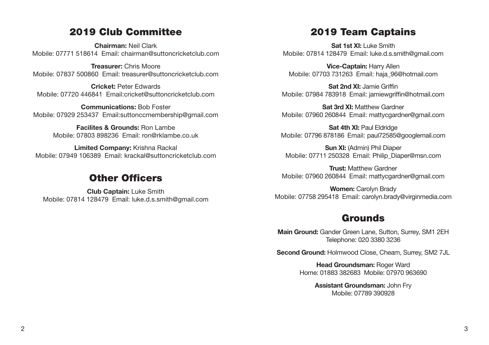### 2019 Club Committee

**Chairman:** Neil Clark Mobile: 07771 518614 Email: chairman@suttoncricketclub.com

**Treasurer:** Chris Moore Mobile: 07837 500860 Email: treasurer@suttoncricketclub.com

**Cricket:** Peter Edwards Mobile: 07720 446841 Email:cricket@suttoncricketclub.com

**Communications:** Bob Foster Mobile: 07929 253437 Email:suttonccmembership@gmail.com

> **Facilites & Grounds:** Ron Lambe Mobile: 07803 898236 Email: ron@rklambe.co.uk

**Limited Company:** Krishna Rackal Mobile: 07949 106389 Email: krackal@suttoncricketclub.com

### Other Officers

**Club Captain:** Luke Smith Mobile: 07814 128479 Email: luke.d.s.smith@gmail.com

### 2019 Team Captains

**Sat 1st XI:** Luke Smith Mobile: 07814 128479 Email: luke.d.s.smith@gmail.com

**Vice-Captain:** Harry Allen Mobile: 07703 731263 Email: haja\_96@hotmail.com

**Sat 2nd XI:** Jamie Griffin Mobile: 07984 783918 Email: jamiewgriffin@hotmail.com

**Sat 3rd XI:** Matthew Gardner Mobile: 07960 260844 Email: mattycgardner@gmail.com

**Sat 4th XI: Paul Eldridge** Mobile: 07796 878186 Email: paul72585@googlemail.com

**Sun XI:** (Admin) Phil Diaper Mobile: 07711 250328 Email: Philip\_Diaper@msn.com

**Trust:** Matthew Gardner Mobile: 07960 260844 Email: mattycgardner@gmail.com

**Women:** Carolyn Brady Mobile: 07758 295418 Email: carolyn.brady@virginmedia.com

# Grounds

**Main Ground:** Gander Green Lane, Sutton, Surrey, SM1 2EH Telephone: 020 3380 3236

**Second Ground:** Holmwood Close, Cheam, Surrey, SM2 7JL

**Head Groundsman: Roger Ward** Home: 01883 382683 Mobile: 07970 963690

> **Assistant Groundsman:** John Fry Mobile: 07789 390928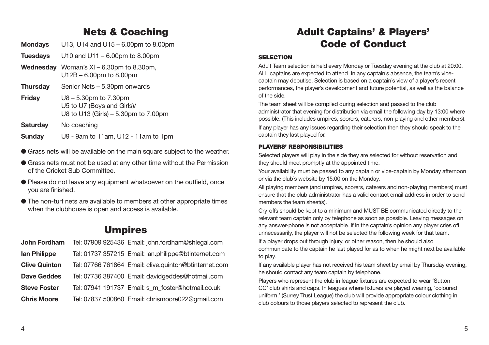# Nets & Coaching

- **Mondays** U13, U14 and U15 6.00pm to 8.00pm
- **Tuesdays** U10 and U11 6.00pm to 8.00pm **Wednesday** Woman's XI – 6.30pm to 8.30pm, U12B – 6.00pm to 8.00pm **Thursday** Senior Nets – 5.30pm onwards **Friday** U8 – 5.30pm to 7.30pm U5 to U7 (Boys and Girls)/ U8 to U13 (Girls) – 5.30pm to 7.00pm **Saturday** No coaching
- **Sunday** U9 9am to 11am, U12 11am to 1pm
- l Grass nets will be available on the main square subject to the weather.
- l Grass nets must not be used at any other time without the Permission of the Cricket Sub Committee.
- Please do not leave any equipment whatsoever on the outfield, once you are finished.
- $\bullet$  The non-turf nets are available to members at other appropriate times when the clubhouse is open and access is available.

# Umpires

| John Fordham         | Tel: 07909 925436 Email: john.fordham@shlegal.com     |
|----------------------|-------------------------------------------------------|
| lan Philippe         | Tel: 01737 357215 Email: ian.philippe@btinternet.com  |
| <b>Clive Quinton</b> | Tel: 07766 761864 Email: clive.quinton@btinternet.com |
| Dave Geddes          | Tel: 07736 387400 Email: davidgeddes@hotmail.com      |
| <b>Steve Foster</b>  | Tel: 07941 191737 Email: s m foster@hotmail.co.uk     |
| <b>Chris Moore</b>   | Tel: 07837 500860 Email: chrismoore022@qmail.com      |

# Adult Captains' & Players' Code of Conduct

### **SELECTION**

Adult Team selection is held every Monday or Tuesday evening at the club at 20:00. ALL captains are expected to attend. In any captain's absence, the team's vicecaptain may deputise. Selection is based on a captain's view of a player's recent performances, the player's development and future potential, as well as the balance of the side.

The team sheet will be compiled during selection and passed to the club administrator that evening for distribution via email the following day by 13:00 where possible. (This includes umpires, scorers, caterers, non-playing and other members).

If any player has any issues regarding their selection then they should speak to the captain they last played for.

### PLAYERS' RESPONSIBILITIES

Selected players will play in the side they are selected for without reservation and they should meet promptly at the appointed time.

Your availability must be passed to any captain or vice-captain by Monday afternoon or via the club's website by 15:00 on the Monday.

All playing members (and umpires, scorers, caterers and non-playing members) must ensure that the club administrator has a valid contact email address in order to send members the team sheet(s).

Cry-offs should be kept to a minimum and MUST BE communicated directly to the relevant team captain only by telephone as soon as possible. Leaving messages on any answer-phone is not acceptable. If in the captain's opinion any player cries off unnecessarily, the player will not be selected the following week for that team.

If a player drops out through injury, or other reason, then he should also communicate to the captain he last played for as to when he might next be available to play.

If any available player has not received his team sheet by email by Thursday evening, he should contact any team captain by telephone.

Players who represent the club in league fixtures are expected to wear 'Sutton CC' club shirts and caps. In leagues where fixtures are played wearing, 'coloured uniform,' (Surrey Trust League) the club will provide appropriate colour clothing in club colours to those players selected to represent the club.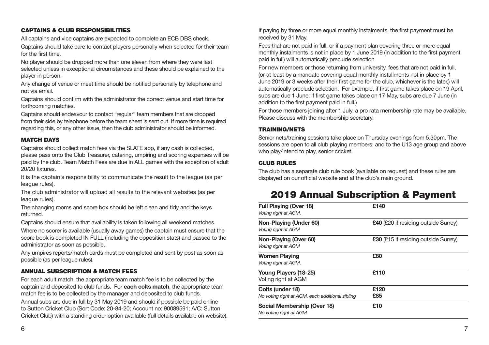### CAPTAINS & CLUB RESPONSIBILITIES

All captains and vice captains are expected to complete an ECB DBS check. Captains should take care to contact players personally when selected for their team for the first time.

No player should be dropped more than one eleven from where they were last selected unless in exceptional circumstances and these should be explained to the player in person.

Any change of venue or meet time should be notified personally by telephone and not via email.

Captains should confirm with the administrator the correct venue and start time for forthcoming matches.

Captains should endeavour to contact "regular" team members that are dropped from their side by telephone before the team sheet is sent out. If more time is required regarding this, or any other issue, then the club administrator should be informed.

#### MATCH DAYS

Captains should collect match fees via the SLATE app, if any cash is collected. please pass onto the Club Treasurer, catering, umpiring and scoring expenses will be paid by the club. Team Match Fees are due in ALL games with the exception of adult 20/20 fixtures.

It is the captain's responsibility to communicate the result to the league (as per league rules).

The club administrator will upload all results to the relevant websites (as per league rules).

The changing rooms and score box should be left clean and tidy and the keys returned.

Captains should ensure that availability is taken following all weekend matches.

Where no scorer is available (usually away games) the captain must ensure that the score book is completed IN FULL (including the opposition stats) and passed to the administrator as soon as possible.

Any umpires reports/match cards must be completed and sent by post as soon as possible (as per league rules).

### ANNUAL SUBSCRIPTION & MATCH FEES

For each adult match, the appropriate team match fee is to be collected by the captain and deposited to club funds. For **each colts match**, the appropriate team match fee is to be collected by the manager and deposited to club funds. Annual subs are due in full by 31 May 2019 and should if possible be paid online to Sutton Cricket Club (Sort Code: 20-84-20; Account no: 90089591; A/C: Sutton Cricket Club) with a standing order option available (full details available on website). If paying by three or more equal monthly instalments, the first payment must be received by 31 May.

Fees that are not paid in full, or if a payment plan covering three or more equal monthly instalments is not in place by 1 June 2019 (in addition to the first payment paid in full) will automatically preclude selection.

For new members or those returning from university, fees that are not paid in full, (or at least by a mandate covering equal monthly installments not in place by 1 June 2019 or 3 weeks after their first game for the club, whichever is the later,) will automatically preclude selection. For example, if first game takes place on 19 April, subs are due 1 June; if first game takes place on 17 May, subs are due 7 June (in addition to the first payment paid in full.)

For those members joining after 1 July, a pro rata membership rate may be available. Please discuss with the membership secretary.

### TRAINING/NETS

Senior nets/training sessions take place on Thursday evenings from 5.30pm. The sessions are open to all club playing members; and to the U13 age group and above who play/intend to play, senior cricket.

### CLUB RULES

The club has a separate club rule book (available on request) and these rules are displayed on our official website and at the club's main ground.

# 2019 Annual Subscription & Payment

| Full Playing (Over 18)<br>Voting right at AGM,                      | £140                                 |
|---------------------------------------------------------------------|--------------------------------------|
| Non-Playing (Under 60)<br>Voting right at AGM                       | £40 (£20 if residing outside Surrey) |
| Non-Playing (Over 60)<br>Voting right at AGM                        | £30 (£15 if residing outside Surrey) |
| <b>Women Playing</b><br>Voting right at AGM,                        | £80                                  |
| Young Players (18-25)<br>Voting right at AGM                        | £110                                 |
| Colts (under 18)<br>No voting right at AGM, each additional sibling | £120<br>£85                          |
| Social Membership (Over 18)<br>No voting right at AGM               | £10                                  |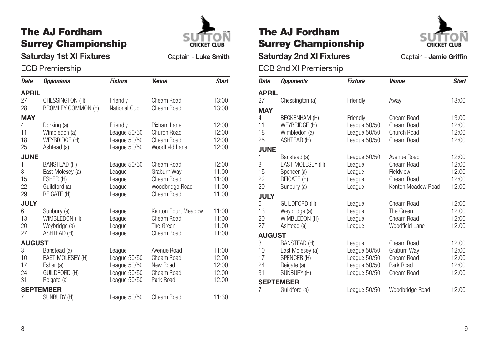# The AJ Fordham Surrey Championship



**Saturday 1st XI Fixtures** Captain - Luke Smith

### ECB Premiership

| <b>Date</b>   | <b>Opponents</b>          | <b>Fixture</b> | <b>Venue</b>        | <b>Start</b> |
|---------------|---------------------------|----------------|---------------------|--------------|
| <b>APRIL</b>  |                           |                |                     |              |
| 27            | CHESSINGTON (H)           | Friendly       | Cheam Road          | 13:00        |
| 28            | <b>BROMLEY COMMON (H)</b> | National Cup   | Cheam Road          | 13:00        |
| <b>MAY</b>    |                           |                |                     |              |
| 4             | Dorking (a)               | Friendly       | Pixham Lane         | 12:00        |
| 11            | Wimbledon (a)             | League 50/50   | Church Road         | 12:00        |
| 18            | WEYBRIDGE (H)             | League 50/50   | Cheam Road          | 12:00        |
| 25            | Ashtead (a)               | League 50/50   | Woodfield Lane      | 12:00        |
| <b>JUNE</b>   |                           |                |                     |              |
| 1             | BANSTEAD (H)              | League 50/50   | Cheam Road          | 12:00        |
| 8             | East Molesey (a)          | League         | Graburn Way         | 11:00        |
| 15            | ESHER (H)                 | League         | Cheam Road          | 11:00        |
| 22            | Guildford (a)             | League         | Woodbridge Road     | 11:00        |
| 29            | REIGATE (H)               | League         | Cheam Road          | 11.00        |
| <b>JULY</b>   |                           |                |                     |              |
| 6             | Sunbury (a)               | League         | Kenton Court Meadow | 11:00        |
| 13            | WIMBLEDON (H)             | League         | Cheam Road          | 11:00        |
| 20            | Weybridge (a)             | League         | The Green           | 11.00        |
| 27            | ASHTEAD (H)               | League         | Cheam Road          | 11:00        |
| <b>AUGUST</b> |                           |                |                     |              |
| 3             | Banstead (a)              | League         | Avenue Road         | 11:00        |
| 10            | EAST MOLESEY (H)          | League 50/50   | Cheam Road          | 12:00        |
| 17            | Esher (a)                 | League 50/50   | New Road            | 12:00        |
| 24            | GUILDFORD (H)             | League 50/50   | Cheam Road          | 12:00        |
| 31            | Reigate (a)               | League 50/50   | Park Road           | 12:00        |
|               | <b>SEPTEMBER</b>          |                |                     |              |
| 7             | SUNBURY (H)               | League 50/50   | Cheam Road          | 11:30        |

# The AJ Fordham Surrey Championship



**Saturday 2nd XI Fixtures** Captain - Jamie Griffin

|               | ECB 2nd XI Premiership |                |                    |              |  |  |
|---------------|------------------------|----------------|--------------------|--------------|--|--|
| <b>Date</b>   | <b>Opponents</b>       | <b>Fixture</b> | <b>Venue</b>       | <b>Start</b> |  |  |
| <b>APRIL</b>  |                        |                |                    |              |  |  |
| 27            | Chessington (a)        | Friendly       | Away               | 13:00        |  |  |
| <b>MAY</b>    |                        |                |                    |              |  |  |
| 4             | BECKENHAM (H)          | Friendly       | Cheam Road         | 13:00        |  |  |
| 11            | WEYBRIDGE (H)          | League 50/50   | Cheam Road         | 12:00        |  |  |
| 18            | Wimbledon (a)          | League 50/50   | Church Road        | 12:00        |  |  |
| 25            | ASHTEAD (H)            | League 50/50   | Cheam Road         | 12:00        |  |  |
| <b>JUNE</b>   |                        |                |                    |              |  |  |
| 1             | Banstead (a)           | League 50/50   | Avenue Road        | 12:00        |  |  |
| 8             | EAST MOLESEY (H)       | League         | Cheam Road         | 12:00        |  |  |
| 15            | Spencer (a)            | League         | Fieldview          | 12:00        |  |  |
| 22            | REIGATE (H)            | League         | Cheam Road         | 12:00        |  |  |
| 29            | Sunbury (a)            | League         | Kenton Meadow Road | 12:00        |  |  |
| <b>JULY</b>   |                        |                |                    |              |  |  |
| 6             | <b>GUILDFORD (H)</b>   | League         | Cheam Road         | 12:00        |  |  |
| 13            | Weybridge (a)          | League         | The Green          | 12.00        |  |  |
| 20            | WIMBLEDON (H)          | League         | Cheam Road         | 12:00        |  |  |
| 27            | Ashtead (a)            | League         | Woodfield Lane     | 12.00        |  |  |
| <b>AUGUST</b> |                        |                |                    |              |  |  |
| 3             | BANSTEAD (H)           | League         | Cheam Road         | 12.00        |  |  |
| 10            | East Molesey (a)       | League 50/50   | Graburn Way        | 12:00        |  |  |
| 17            | SPENCER (H)            | League 50/50   | Cheam Road         | 12:00        |  |  |
| 24<br>31      | Reigate (a)            | League 50/50   | Park Road          | 12:00        |  |  |
|               | SUNBURY (H)            | League 50/50   | Cheam Road         | 12:00        |  |  |
|               | <b>SEPTEMBER</b>       |                |                    |              |  |  |
| 7             | Guildford (a)          | League 50/50   | Woodbridge Road    | 12:00        |  |  |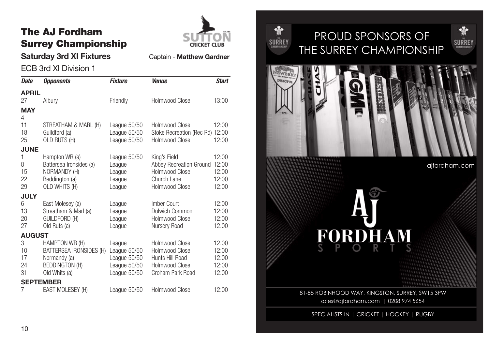# The AJ Fordham Surrey Championship



**Saturday 3rd XI Fixtures** Captain - Matthew Gardner

ECB 3rd XI Division 1

| <b>Date</b>               | <i><b>Opponents</b></i>                                                                             | <b>Fixture</b>                                                         | <b>Venue</b>                                                                                      | <b>Start</b>                              |
|---------------------------|-----------------------------------------------------------------------------------------------------|------------------------------------------------------------------------|---------------------------------------------------------------------------------------------------|-------------------------------------------|
| <b>APRIL</b>              |                                                                                                     |                                                                        |                                                                                                   |                                           |
| 27                        | Albury                                                                                              | Friendly                                                               | <b>Holmwood Close</b>                                                                             | 13:00                                     |
| <b>MAY</b><br>4           |                                                                                                     |                                                                        |                                                                                                   |                                           |
| 11<br>18<br>25            | STREATHAM & MARL (H)<br>Guildford (a)<br>OLD RUTS (H)                                               | League 50/50<br>League 50/50<br>League 50/50                           | Holmwood Close<br>Stoke Recreation (Rec Rd) 12:00<br>Holmwood Close                               | 12:00<br>12:00                            |
| <b>JUNE</b>               |                                                                                                     |                                                                        |                                                                                                   |                                           |
| 1<br>8<br>15<br>22<br>29  | Hampton WR (a)<br>Battersea Ironsides (a)<br>NORMANDY (H)<br>Beddington (a)<br>OLD WHITS (H)        | League 50/50<br>League<br>League<br>League<br>League                   | King's Field<br>Abbey Recreation Ground<br>Holmwood Close<br>Church Lane<br><b>Holmwood Close</b> | 12:00<br>12:00<br>12:00<br>12:00<br>12:00 |
| <b>JULY</b>               |                                                                                                     |                                                                        |                                                                                                   |                                           |
| 6<br>13<br>20<br>27       | East Molesey (a)<br>Streatham & Marl (a)<br><b>GUILDFORD (H)</b><br>Old Ruts (a)                    | League<br>League<br>League<br>League                                   | Imber Court<br>Dulwich Common<br>Holmwood Close<br>Nursery Road                                   | 12:00<br>12:00<br>12:00<br>12.00          |
| <b>AUGUST</b>             |                                                                                                     |                                                                        |                                                                                                   |                                           |
| 3<br>10<br>17<br>24<br>31 | HAMPTON WR (H)<br>BATTERSEA IRONSIDES (H)<br>Normandy (a)<br><b>BEDDINGTON (H)</b><br>Old Whits (a) | League<br>League 50/50<br>League 50/50<br>League 50/50<br>League 50/50 | Holmwood Close<br><b>Holmwood Close</b><br>Hunts Hill Road<br>Holmwood Close<br>Croham Park Road  | 12.00<br>12:00<br>12:00<br>12:00<br>12:00 |
|                           | <b>SEPTEMBER</b>                                                                                    |                                                                        |                                                                                                   |                                           |
| 7                         | EAST MOLESEY (H)                                                                                    | League 50/50                                                           | Holmwood Close                                                                                    | 12:00                                     |



# PROUD SPONSORS OF THE SURREY CHAMPIONSHIP



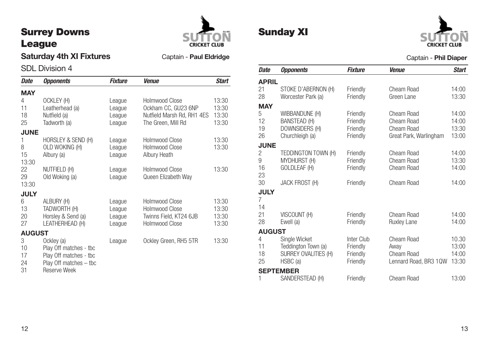# Surrey Downs League



Sunday XI

### **Saturday 4th XI Fixtures** Captain - **Paul Eldridge**

### SDL Division 4

| Date          | <b>Opponents</b>       | <b>Fixture</b> | <b>Venue</b>               | <b>Start</b> |
|---------------|------------------------|----------------|----------------------------|--------------|
| <b>MAY</b>    |                        |                |                            |              |
| 4             | OCKLEY (H)             | League         | Holmwood Close             | 13:30        |
| 11            | Leatherhead (a)        | League         | Ockham CC, GU23 6NP        | 13:30        |
| 18            | Nutfield (a)           | League         | Nutfield Marsh Rd, RH1 4ES | 13:30        |
| 25            | Tadworth (a)           | League         | The Green, Mill Rd         | 13:30        |
| <b>JUNE</b>   |                        |                |                            |              |
| 1             | HORSLEY & SEND (H)     | League         | Holmwood Close             | 13:30        |
| 8             | OLD WOKING (H)         | League         | Holmwood Close             | 13:30        |
| 15            | Albury (a)             | League         | Albury Heath               |              |
| 13:30         |                        |                |                            |              |
| 22            | NUTFIELD (H)           | League         | <b>Holmwood Close</b>      | 13:30        |
| 29            | Old Woking (a)         | League         | Queen Elizabeth Way        |              |
| 13:30         |                        |                |                            |              |
| <b>JULY</b>   |                        |                |                            |              |
| 6             | ALBURY (H)             | League         | Holmwood Close             | 13:30        |
| 13            | TADWORTH (H)           | League         | Holmwood Close             | 13:30        |
| 20            | Horsley & Send (a)     | League         | Twinns Field, KT24 6JB     | 13:30        |
| 27            | LEATHERHEAD (H)        | League         | <b>Holmwood Close</b>      | 13:30        |
| <b>AUGUST</b> |                        |                |                            |              |
| 3             | Ockley (a)             | League         | Ockley Green, RH5 5TR      | 13:30        |
| 10            | Play Off matches - tbc |                |                            |              |
| 17            | Play Off matches - tbc |                |                            |              |
| 24            | Play Off matches - tbc |                |                            |              |
| 31            | Reserve Week           |                |                            |              |

| Date          | <b>Opponents</b>      | <b>Fixture</b> | <b>Venue</b>           | <b>Start</b> |
|---------------|-----------------------|----------------|------------------------|--------------|
| <b>APRIL</b>  |                       |                |                        |              |
| 21            | STOKE D'ABERNON (H)   | Friendly       | Cheam Road             | 14:00        |
| 28            | Worcester Park (a)    | Friendly       | Green Lane             | 13:30        |
| <b>MAY</b>    |                       |                |                        |              |
| 5             | WIBBANDUNE (H)        | Friendly       | Cheam Road             | 14:00        |
| 12            | <b>BANSTEAD (H)</b>   | Friendly       | Cheam Road             | 14:00        |
| 19            | DOWNSIDERS (H)        | Friendly       | Cheam Road             | 13:30        |
| 26            | Churchleigh (a)       | Friendly       | Great Park, Warlingham | 13:00        |
| <b>JUNE</b>   |                       |                |                        |              |
| 2             | TEDDINGTON TOWN (H)   | Friendly       | Cheam Road             | 14:00        |
| 9             | <b>MYDHURST (H)</b>   | Friendly       | Cheam Road             | 13:30        |
| 16            | GOLDLEAF (H)          | Friendly       | Cheam Road             | 14:00        |
| 23            |                       |                |                        |              |
| 30            | <b>JACK FROST (H)</b> | Friendly       | Cheam Road             | 14:00        |
| <b>JULY</b>   |                       |                |                        |              |
| 7             |                       |                |                        |              |
| 14            |                       |                |                        |              |
| 21            | VISCOUNT (H)          | Friendly       | Cheam Road             | 14:00        |
| 28            | Ewell (a)             | Friendly       | Ruxley Lane            | 14:00        |
| <b>AUGUST</b> |                       |                |                        |              |
| 4             | Single Wicket         | Inter Club     | Cheam Road             | 10.30        |
| 11            | Teddington Town (a)   | Friendly       | Away                   | 13:00        |
| 18            | SURREY OVALITIES (H)  | Friendly       | Cheam Road             | 14:00        |
| 25            | HSBC (a)              | Friendly       | Lennard Road, BR3 1QW  | 13:30        |
|               | <b>SEPTEMBER</b>      |                |                        |              |
| 1             | SANDERSTEAD (H)       | Friendly       | Cheam Road             | 13:00        |

Captain - **Phil Diaper**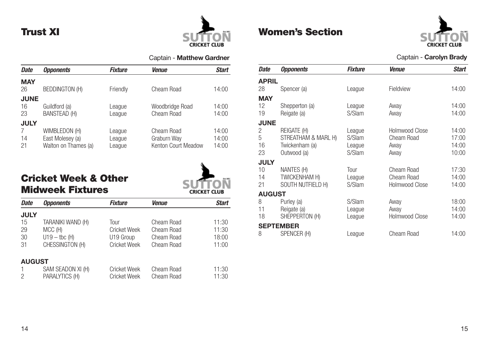# Trust XI



Captain - **Matthew Gardner**

| <b>Date</b>             | <b>Opponents</b>                                          | <b>Fixture</b>             | <b>Venue</b>                                     | <b>Start</b>            |
|-------------------------|-----------------------------------------------------------|----------------------------|--------------------------------------------------|-------------------------|
| <b>MAY</b><br>26        | <b>BEDDINGTON (H)</b>                                     | Friendly                   | Cheam Road                                       | 14:00                   |
| <b>JUNE</b><br>16<br>23 | Guildford (a)<br><b>BANSTEAD (H)</b>                      | League<br>League           | Woodbridge Road<br>Cheam Road                    | 14:00<br>14:00          |
| <b>JULY</b><br>14<br>21 | WIMBLEDON (H)<br>East Molesey (a)<br>Walton on Thames (a) | League<br>League<br>League | Cheam Road<br>Graburn Way<br>Kenton Court Meadow | 14:00<br>14:00<br>14:00 |

# Cricket Week & Other Midweek Fixtures



| Date          | <b>Opponents</b>       | Fixture             | <b>Venue</b> | Start |
|---------------|------------------------|---------------------|--------------|-------|
| <b>JULY</b>   |                        |                     |              |       |
| 15            | TARANIKI WAND (H)      | Tour                | Cheam Road   | 11:30 |
| 29            | MCC (H)                | <b>Cricket Week</b> | Cheam Road   | 11:30 |
| 30            | $U19 - \text{tbc}$ (H) | U19 Group           | Cheam Road   | 18:00 |
| 31            | CHESSINGTON (H)        | <b>Cricket Week</b> | Cheam Road   | 11:00 |
| <b>AUGUST</b> |                        |                     |              |       |
|               | SAM SEADON XI (H)      | <b>Cricket Week</b> | Cheam Road   | 11:30 |
| 2             | PARALYTICS (H)         | <b>Cricket Week</b> | Cheam Road   | 11:30 |

# Women's Section



### Captain - **Carolyn Brady**

| Date          | <b>Opponents</b>    | Fixture | <b>Venue</b>          | <b>Start</b> |
|---------------|---------------------|---------|-----------------------|--------------|
| <b>APRIL</b>  |                     |         |                       |              |
| 28            | Spencer (a)         | League  | Fieldview             | 14:00        |
| <b>MAY</b>    |                     |         |                       |              |
| 12            | Shepperton (a)      | League  | Away                  | 14:00        |
| 19            | Reigate (a)         | S/Slam  | Away                  | 14:00        |
| <b>JUNE</b>   |                     |         |                       |              |
| 2             | REIGATE (H)         | League  | Holmwood Close        | 14:00        |
| 5             | STREATHAM & MARL H) | S/Slam  | Cheam Road            | 17:00        |
| 16            | Twickenham (a)      | League  | Away                  | 14:00        |
| 23            | Outwood (a)         | S/Slam  | Away                  | 10:00        |
| <b>JULY</b>   |                     |         |                       |              |
| 10            | NANTES (H)          | Tour    | Cheam Road            | 17:30        |
| 14            | TWICKENHAM H)       | League  | Cheam Road            | 14:00        |
| 21            | SOUTH NUTFIELD H)   | S/Slam  | <b>Holmwood Close</b> | 14:00        |
| <b>AUGUST</b> |                     |         |                       |              |
| 8             | Purley (a)          | S/Slam  | Away                  | 18:00        |
| 11            | Reigate (a)         | League  | Away                  | 14:00        |
| 18            | SHEPPERTON (H)      | League  | Holmwood Close        | 14:00        |
|               | <b>SEPTEMBER</b>    |         |                       |              |
| 8             | SPENCER (H)         | League  | Cheam Road            | 14:00        |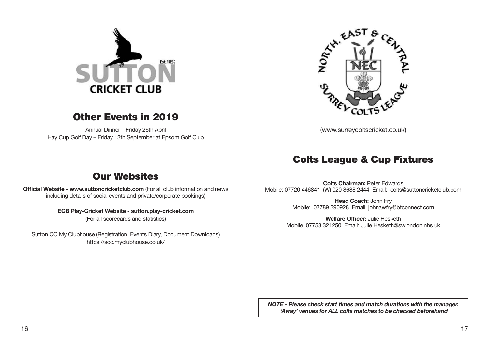

### Other Events in 2019

Annual Dinner – Friday 26th April Hay Cup Golf Day – Friday 13th September at Epsom Golf Club



(www.surreycoltscricket.co.uk)

### Colts League & Cup Fixtures

# Our Websites

**Official Website - www.suttoncricketclub.com** (For all club information and news including details of social events and private/corporate bookings)

### **ECB Play-Cricket Website - sutton.play-cricket.com**

(For all scorecards and statistics)

Sutton CC My Clubhouse (Registration, Events Diary, Document Downloads) https://scc.myclubhouse.co.uk/

**Colts Chairman:** Peter Edwards Mobile: 07720 446841 (W) 020 8688 2444 Email: colts@suttoncricketclub.com

> **Head Coach:** John Fry Mobile: 07789 390928 Email: johnawfry@btconnect.com

**Welfare Officer:** Julie Hesketh Mobile 07753 321250 Email: Julie.Hesketh@swlondon.nhs.uk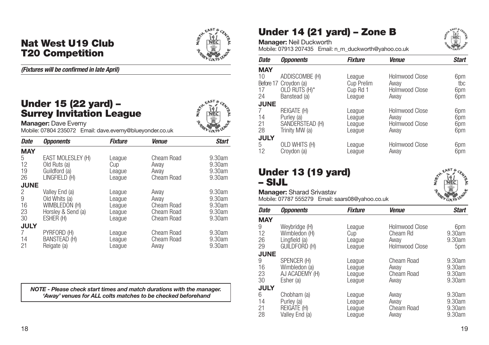### Nat West U19 Club T20 Competition



### *(Fixtures will be confirmed in late April)*

### Under 15 (22 yard) – Surrey Invitation League



**Manager:** Dave Evemy Mobile: 07804 235072 Email: dave.evemy@blueyonder.co.uk

| <b>Date</b> | <b>Opponents</b>    | <b>Fixture</b> | <b>Venue</b> | <b>Start</b> |
|-------------|---------------------|----------------|--------------|--------------|
| <b>MAY</b>  |                     |                |              |              |
| 5           | EAST MOLESLEY (H)   | League         | Cheam Road   | 9.30am       |
| 12          | Old Ruts (a)        | Cup            | Away         | 9.30am       |
| 19          | Guildford (a)       | League         | Away         | 9.30am       |
| 26          | LINGFIELD (H)       | League         | Cheam Road   | 9.30am       |
| <b>JUNE</b> |                     |                |              |              |
| 2           | Valley End (a)      | League         | Away         | 9.30am       |
| 9           | Old Whits (a)       | League         | Away         | 9.30am       |
| 16          | WIMBLEDON (H)       | League         | Cheam Road   | 9.30am       |
| 23          | Horsley & Send (a)  | League         | Cheam Road   | 9.30am       |
| 30          | ESHER (H)           | League         | Cheam Road   | 9.30am       |
| <b>JULY</b> |                     |                |              |              |
| 7           | PYRFORD (H)         | League         | Cheam Road   | 9.30am       |
| 14          | <b>BANSTEAD (H)</b> | League         | Cheam Road   | 9.30am       |
| 21          | Reigate (a)         | League         | Away         | 9.30am       |

*NOTE - Please check start times and match durations with the manager. 'Away' venues for ALL colts matches to be checked beforehand*

# Under 14 (21 yard) – Zone B



**Manager:** Neil Duckworth

Mobile: 07913 207435 Email: n\_m\_duckworth@yahoo.co.uk

| Date        | <b>Opponents</b>      | <b>Fixture</b> | <b>Venue</b>          | <b>Start</b> |
|-------------|-----------------------|----------------|-----------------------|--------------|
| <b>MAY</b>  |                       |                |                       |              |
| 10          | ADDISCOMBE (H)        | League         | Holmwood Close        | 6pm          |
|             | Before 17 Croydon (a) | Cup Prelim     | Awav                  | tbc          |
| 17          | OLD RUTS (H)*         | Cup Rd 1       | Holmwood Close        | 6pm          |
| 24          | Banstead (a)          | League         | Awav                  | 6pm          |
| <b>JUNE</b> |                       |                |                       |              |
| 7           | REIGATE (H)           | League         | Holmwood Close        | 6pm          |
| 14          | Purley (a)            | League         | Awav                  | 6pm          |
| 21          | SANDERSTEAD (H)       | League         | <b>Holmwood Close</b> | 6pm          |
| 28          | Trinity MW (a)        | League         | Awav                  | 6pm          |
| <b>JULY</b> |                       |                |                       |              |
| 5           | OLD WHITS (H)         | League         | <b>Holmwood Close</b> | 6pm          |
| 12          | Croydon (a)           | League         | Away                  | 6pm          |

# Under 13 (19 yard) – SIJL



**Manager:** Sharad Srivastav Mobile: 07787 555279 Email: saars08@yahoo.co.uk

| <b>Date</b> | <b>Opponents</b> | <b>Fixture</b> | <b>Venue</b>   | <b>Start</b> |
|-------------|------------------|----------------|----------------|--------------|
| <b>MAY</b>  |                  |                |                |              |
| 9           | Weybridge (H)    | League         | Holmwood Close | 6pm          |
| 12          | Wimbledon (H)    | Cup            | Cheam Rd       | 9.30am       |
| 26          | Lingfield (a)    | League         | Away           | 9.30am       |
| 29          | GUILDFORD (H)    | League         | Holmwood Close | 5pm          |
| <b>JUNE</b> |                  |                |                |              |
| 9           | SPENCER (H)      | League         | Cheam Road     | 9.30am       |
| 16          | Wimbledon (a)    | League         | Away           | 9.30am       |
| 23          | AJ ACADEMY (H)   | League         | Cheam Road     | 9.30am       |
| 30          | Esher (a)        | League         | Awav           | 9.30am       |
| <b>JULY</b> |                  |                |                |              |
| 6           | Chobham (a)      | League         | Away           | 9.30am       |
| 14          | Purley (a)       | League         | Away           | 9.30am       |
| 21          | REIGATE (H)      | League         | Cheam Road     | 9.30am       |
| 28          | Valley End (a)   | League         | Away           | 9.30am       |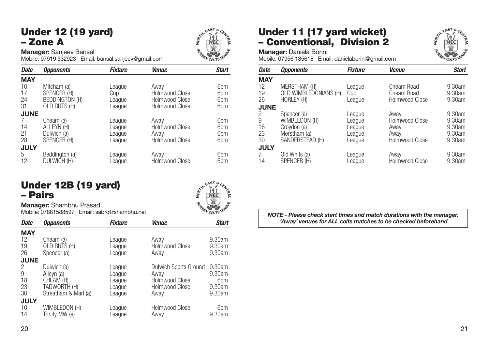# Under 12 (19 yard) – Zone A



**Manager:** Sanjeev Bansal

Mobile: 07919 532923 Email: bansal.sanjeev@gmail.com

| <b>Date</b> | <b>Opponents</b>      | <b>Fixture</b> | <b>Venue</b>          | <b>Start</b> |
|-------------|-----------------------|----------------|-----------------------|--------------|
| <b>MAY</b>  |                       |                |                       |              |
| 10          | Mitcham (a)           | League         | Awav                  | 6pm          |
| 17          | SPENCER (H)           | Cup            | Holmwood Close        | 6pm          |
| 24          | <b>BEDDINGTON (H)</b> | League         | Holmwood Close        | 6pm          |
| 31          | OLD RUTS (H)          | League         | Holmwood Close        | 6pm          |
| <b>JUNE</b> |                       |                |                       |              |
| 7           | Cheam (a)             | League         | Away                  | 6pm          |
| 14          | ALLEYN (H)            | League         | Holmwood Close        | 6pm          |
| 21          | Dulwich (a)           | League         | Away                  | 6pm          |
| 28          | SPENCER (H)           | League         | Holmwood Close        | 6pm          |
| <b>JULY</b> |                       |                |                       |              |
| 5           | Beddington (a)        | League         | Awav                  | 6pm          |
| 12          | DULWICH (H)           | League         | <b>Holmwood Close</b> | 6pm          |

### Under 12B (19 yard) – Pairs



**Manager:** Shambhu Prasad Mobile: 07881588597 Email: sabro@shambhu.net

| <b>Date</b> | <i><b>Opponents</b></i> | <b>Fixture</b> | <b>Venue</b>          | <b>Start</b> |
|-------------|-------------------------|----------------|-----------------------|--------------|
| <b>MAY</b>  |                         |                |                       |              |
| 12          | Cheam (a)               | League         | Away                  | 9.30am       |
| 19          | OLD RUTS (H)            | League         | Holmwood Close        | 9.30am       |
| 26          | Spencer (a)             | League         | Awav                  | 9.30am       |
| <b>JUNE</b> |                         |                |                       |              |
| 2           | Dulwich (a)             | League         | Dulwich Sports Ground | 9.30am       |
| 9           | Alleyn (a)              | League         | Awav                  | 9.30am       |
| 18          | CHEAM (H)               | League         | Holmwood Close        | 6pm          |
| 23          | TADWORTH (H)            | League         | Holmwood Close        | 9.30am       |
| 30          | Streatham & Marl (a)    | League         | Awav                  | 9.30am       |
| <b>JULY</b> |                         |                |                       |              |
| 10          | WIMBLEDON (H)           | League         | Holmwood Close        | 6pm          |
| 14          | Trinity MW (a)          | League         | Away                  | 9.30am       |
|             |                         |                |                       |              |

# Under 11 (17 yard wicket) – Conventional, Division 2



**Manager:** Daniela Borini

Mobile: 07956 135618 Email: danielaborini@gmail.com

| Date        | <b>Opponents</b>      | Fixture | <b>Venue</b>          | <b>Start</b> |
|-------------|-----------------------|---------|-----------------------|--------------|
| <b>MAY</b>  |                       |         |                       |              |
| 12          | MERSTHAM (H)          | League  | Cheam Road            | 9.30am       |
| 19          | OLD WIMBLEDONIANS (H) | Cup     | Cheam Road            | 9.30am       |
| 26          | HORLEY (H)            | League  | Holmwood Close        | 9.30am       |
| <b>JUNE</b> |                       |         |                       |              |
| 2           | Spencer (a)           | League  | Away                  | 9.30am       |
| 9           | WIMBLEDON (H)         | League  | <b>Holmwood Close</b> | 9.30am       |
| 16          | Croydon (a)           | League  | Away                  | 9.30am       |
| 23          | Merstham (a)          | League  | Away                  | 9.30am       |
| 30          | SANDERSTEAD (H)       | League  | <b>Holmwood Close</b> | 9.30am       |
| <b>JULY</b> |                       |         |                       |              |
|             | Old Whits (a)         | League  | Away                  | 9.30am       |
| 14          | SPENCER (H)           | League  | <b>Holmwood Close</b> | 9.30am       |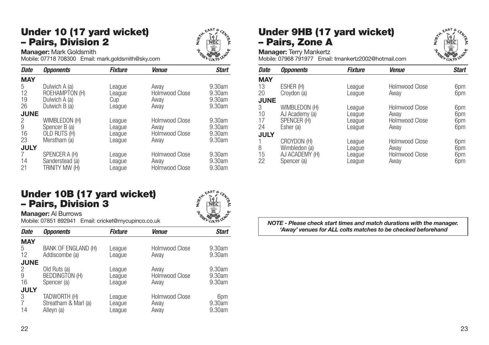### Under 10 (17 yard wicket) – Pairs, Division 2



**Manager:** Mark Goldsmith

Mobile: 07718 708300 Email: mark.goldsmith@sky.com

| <b>Date</b> | <b>Opponents</b> | <b>Fixture</b> | <b>Venue</b>   | <b>Start</b> |
|-------------|------------------|----------------|----------------|--------------|
| <b>MAY</b>  |                  |                |                |              |
| 5           | Dulwich A (a)    | League         | Away           | 9.30am       |
| 12          | ROEHAMPTON (H)   | League         | Holmwood Close | 9.30am       |
| 19          | Dulwich A (a)    | Cup            | Awav           | 9.30am       |
| 26          | Dulwich B (a)    | League         | Awav           | 9.30am       |
| <b>JUNE</b> |                  |                |                |              |
| 2           | WIMBLEDON (H)    | League         | Holmwood Close | 9.30am       |
| 9           | Spencer B (a)    | League         | Awav           | 9.30am       |
| 16          | OLD RUTS (H)     | League         | Holmwood Close | 9.30am       |
| 23          | Merstham (a)     | League         | Awav           | 9.30am       |
| <b>JULY</b> |                  |                |                |              |
| 7           | SPENCER A (H)    | League         | Holmwood Close | 9.30am       |
| 14          | Sanderstead (a)  | League         | Awav           | 9.30am       |
| 21          | Trinity MW (H)   | League         | Holmwood Close | 9.30am       |

### Under 10B (17 yard wicket) – Pairs, Division 3

### **Manager:** Al Burrows

Mobile: 07851 892941 Email: cricket@mycupinco.co.uk

| <b>Date</b> | <i><b>Opponents</b></i>               | <b>Fixture</b>   | <b>Venue</b>           | <b>Start</b>     |
|-------------|---------------------------------------|------------------|------------------------|------------------|
| <b>MAY</b>  |                                       |                  |                        |                  |
| 5<br>12     | BANK OF ENGLAND (H)<br>Addiscombe (a) | League<br>League | Holmwood Close<br>Away | 9.30am<br>9.30am |
| <b>JUNE</b> |                                       |                  |                        |                  |
| 2           | Old Ruts (a)                          | League           | Away                   | 9.30am           |
| 9           | <b>BEDDINGTON (H)</b>                 | League           | Holmwood Close         | 9.30am           |
| 16          | Spencer (a)                           | League           | Awav                   | 9.30am           |
| <b>JULY</b> |                                       |                  | Holmwood Close         |                  |
| 3           | TADWORTH (H)                          | League           |                        | 6pm              |
| 14          | Streatham & Marl (a)                  | League           | Away                   | 9.30am<br>9.30am |
|             | Alleyn (a)                            | League           | Away                   |                  |

# Under 9HB (17 yard wicket) – Pairs, Zone A



**Manager:** Terry Mankertz Mobile: 07968 791977 Email: tmankertz2002@hotmail.com

| <b>Date</b> | <b>Opponents</b> | <b>Fixture</b> | <b>Venue</b>          | <b>Start</b> |
|-------------|------------------|----------------|-----------------------|--------------|
| <b>MAY</b>  |                  |                |                       |              |
| 13          | ESHER (H)        | League         | Holmwood Close        | 6pm          |
| 20          | Croydon (a)      | League         | Away                  | 6pm          |
| <b>JUNE</b> |                  |                |                       |              |
| 3           | WIMBLEDON (H)    | League         | Holmwood Close        | 6pm          |
| 10          | AJ Academy (a)   | League         | Away                  | 6pm          |
| 17          | SPENCER (H)      | League         | <b>Holmwood Close</b> | 6pm          |
| 24          | Esher (a)        | League         | Away                  | 6pm          |
| <b>JULY</b> |                  |                |                       |              |
|             | CROYDON (H)      | League         | Holmwood Close        | 6pm          |
| 8           | Wimbledon (a)    | League         | Away                  | 6pm          |
| 15          | AJ ACADEMY (H)   | League         | Holmwood Close        | 6pm          |
| 22          | Spencer (a)      | League         | Away                  | 6pm          |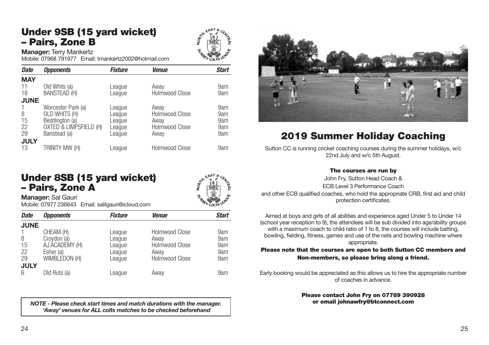# Under 9SB (15 yard wicket) – Pairs, Zone B



**Manager:** Terry Mankertz

Mobile: 07968 791977 Email: tmankertz2002@hotmail.com

| <b>Date</b> | <b>Opponents</b>       | <b>Fixture</b> | <b>Venue</b>          | <b>Start</b> |
|-------------|------------------------|----------------|-----------------------|--------------|
| <b>MAY</b>  |                        |                |                       |              |
| 11          | Old Whits (a)          | League         | Away                  | 9am          |
| 18          | BANSTEAD (H)           | League         | <b>Holmwood Close</b> | 9am          |
| <b>JUNE</b> |                        |                |                       |              |
|             | Worcester Park (a)     | League         | Awav                  | 9am          |
| 8           | OLD WHITS (H)          | League         | Holmwood Close        | 9am          |
| 15          | Beddington (a)         | League         | Awav                  | 9am          |
| 22          | OXTED & LIMPSFIELD (H) | League         | Holmwood Close        | 9am          |
| 29          | Banstead (a)           | League         | Awav                  | 9am          |
| <b>JULY</b> |                        |                |                       |              |
| 13          | TRINITY MW (H)         | League         | Holmwood Close        | 9am          |



# 2019 Summer Holiday Coaching

Sutton CC is running cricket coaching courses during the summer holidays, w/c 22nd July and w/c 5th August.

### The courses are run by

John Fry, Sutton Head Coach & ECB Level 3 Performance Coach and other ECB qualified coaches, who hold the appropriate CRB, first aid and child protection certificates.

Aimed at boys and girls of all abilities and experience aged Under 5 to Under 14 (school year reception to 9), the attendees will be sub divided into age/ability groups with a maximum coach to child ratio of 1 to 8, the courses will include batting. bowling, fielding, fitness, games and use of the nets and bowling machine where appropriate.

### Please note that the courses are open to both Sutton CC members and Non-members, so please bring along a friend.

Early booking would be appreciated as this allows us to hire the appropriate number of coaches in advance.

#### Please contact John Fry on 07789 390928 or email johnawfry@btconnect.com

### Under 8SB (15 yard wicket) – Pairs, Zone A



**Manager:** Sal Gauri Mobile: 07977 236643 Email: salilgauri@icloud.com

| <b>Date</b> | <b>Opponents</b> | <b>Fixture</b> | <b>Venue</b>          | <b>Start</b> |
|-------------|------------------|----------------|-----------------------|--------------|
| <b>JUNE</b> |                  |                |                       |              |
|             | CHEAM (H)        | League         | <b>Holmwood Close</b> | 9am          |
| 8           | Croydon (a)      | League         | Awav                  | 9am          |
| 15          | AJ ACADEMY (H)   | League         | Holmwood Close        | 9am          |
| 22          | Esher (a)        | League         | Away                  | 9am          |
| 29          | WIMBLEDON (H)    | League         | <b>Holmwood Close</b> | 9am          |
| <b>JULY</b> |                  |                |                       |              |
| 6           | Old Ruts (a)     | League         | Away                  | 9am          |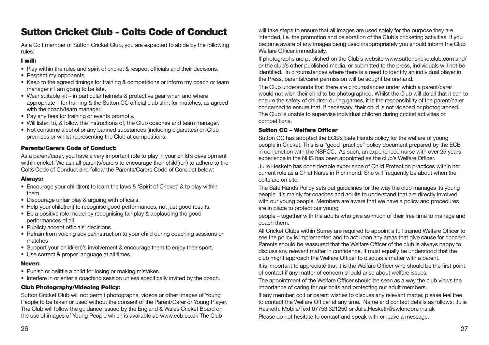# Sutton Cricket Club - Colts Code of Conduct

As a Colt member of Sutton Cricket Club, you are expected to abide by the following rules:

### I will:

- Play within the rules and spirit of cricket & respect officials and their decisions.
- Respect my opponents.
- Keep to the agreed timings for training & competitions or inform my coach or team manager if I am going to be late.
- Wear suitable kit in particular helmets & protective gear when and where appropriate – for training & the Sutton CC official club shirt for matches, as agreed with the coach/team manager.
- Pay any fees for training or events promptly.
- Will listen to, & follow the instructions of, the Club coaches and team manager.
- Not consume alcohol or any banned substances (including cigarettes) on Club premises or whilst representing the Club at competitions.

### Parents/Carers Code of Conduct:

As a parent/carer, you have a very important role to play in your child's development within cricket. We ask all parents/carers to encourage their child(ren) to adhere to the Colts Code of Conduct and follow the Parents/Carers Code of Conduct below:

### Always:

- Encourage your child(ren) to learn the laws & 'Spirit of Cricket' & to play within them.
- Discourage unfair play & arguing with officials.
- Help your child(ren) to recognise good performances, not just good results.
- Be a positive role model by recognising fair play & applauding the good performances of all.
- Publicly accept officials' decisions.
- Refrain from voicing advice/instruction to your child during coaching sessions or matches
- Support your child(ren)'s involvement & encourage them to enjoy their sport.
- Use correct & proper language at all times.

### Never:

- Punish or belittle a child for losing or making mistakes.
- Interfere in or enter a coaching session unless specifically invited by the coach.

### Club Photography/Videoing Policy:

Sutton Cricket Club will not permit photographs, videos or other images of Young People to be taken or used without the consent of the Parent/Carer or Young Player. The Club will follow the guidance issued by the England & Wales Cricket Board on the use of images of Young People which is available at: www.ecb.co.uk The Club

will take steps to ensure that all images are used solely for the purpose they are intended, i.e. the promotion and celebration of the Club's cricketing activities. If you become aware of any images being used inappropriately you should inform the Club Welfare Officer immediately.

If photographs are published on the Club's website www.suttoncricketclub.com and/ or the club's other published media, or submitted to the press, individuals will not be identified. In circumstances where there is a need to identify an individual player in the Press, parental/carer permission will be sought beforehand.

The Club understands that there are circumstances under which a parent/carer would not wish their child to be photographed. Whilst the Club will do all that it can to ensure the safety of children during games, it is the responsibility of the parent/carer concerned to ensure that, if necessary, their child is not videoed or photographed. The Club is unable to supervise individual children during cricket activities or competitions.

#### Sutton CC – Welfare Officer

Sutton CC has adopted the ECB's Safe Hands policy for the welfare of young people in Cricket. This is a "good practice" policy document prepared by the ECB in conjunction with the NSPCC. As such, an experienced nurse with over 25 years' experience in the NHS has been appointed as the club's Welfare Officer. Julie Hesketh has considerable experience of Child Protection practices within her

current role as a Chief Nurse in Richmond. She will frequently be about when the colts are on site.

The Safe Hands Policy sets out guidelines for the way the club manages its young people. It's mainly for coaches and adults to understand that are directly involved with our young people. Members are aware that we have a policy and procedures are in place to protect our young

people – together with the adults who give so much of their free time to manage and coach them.

All Cricket Clubs within Surrey are required to appoint a full trained Welfare Officer to see the policy is implemented and to act upon any areas that give cause for concern. Parents should be reassured that the Welfare Officer of the club is always happy to discuss any relevant matter in confidence. It must equally be understood that the club might approach the Welfare Officer to discuss a matter with a parent.

It is important to appreciate that it is the Welfare Officer who should be the first point of contact if any matter of concern should arise about welfare issues.

The appointment of the Welfare Officer should be seen as a way the club views the importance of caring for our colts and protecting our adult members.

If any member, colt or parent wishes to discuss any relevant matter, please feel free to contact the Welfare Officer at any time. Name and contact details as follows: Julie Hesketh. Mobile/Text 07753 321250 or Julie.Hesketh@swlondon.nhs.uk

Please do not hesitate to contact and speak with or leave a message.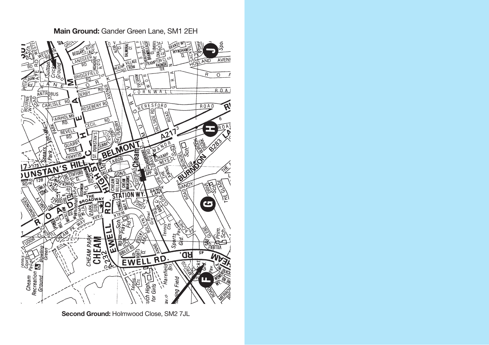

**Main Ground:** Gander Green Lane, SM1 2EH

**Second Ground:** Holmwood Close, SM2 7JL